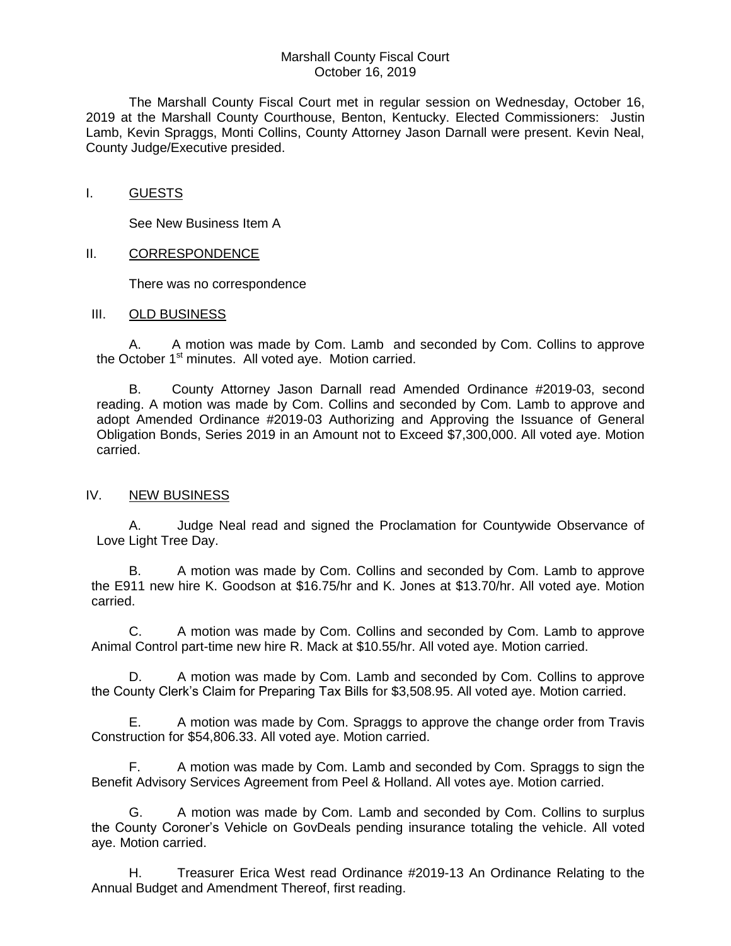## Marshall County Fiscal Court October 16, 2019

The Marshall County Fiscal Court met in regular session on Wednesday, October 16, 2019 at the Marshall County Courthouse, Benton, Kentucky. Elected Commissioners: Justin Lamb, Kevin Spraggs, Monti Collins, County Attorney Jason Darnall were present. Kevin Neal, County Judge/Executive presided.

### I. GUESTS

See New Business Item A

## II. CORRESPONDENCE

There was no correspondence

#### III. OLD BUSINESS

A. A motion was made by Com. Lamb and seconded by Com. Collins to approve the October 1<sup>st</sup> minutes. All voted aye. Motion carried.

B. County Attorney Jason Darnall read Amended Ordinance #2019-03, second reading. A motion was made by Com. Collins and seconded by Com. Lamb to approve and adopt Amended Ordinance #2019-03 Authorizing and Approving the Issuance of General Obligation Bonds, Series 2019 in an Amount not to Exceed \$7,300,000. All voted aye. Motion carried.

# IV. NEW BUSINESS

A. Judge Neal read and signed the Proclamation for Countywide Observance of Love Light Tree Day.

B. A motion was made by Com. Collins and seconded by Com. Lamb to approve the E911 new hire K. Goodson at \$16.75/hr and K. Jones at \$13.70/hr. All voted aye. Motion carried.

C. A motion was made by Com. Collins and seconded by Com. Lamb to approve Animal Control part-time new hire R. Mack at \$10.55/hr. All voted aye. Motion carried.

D. A motion was made by Com. Lamb and seconded by Com. Collins to approve the County Clerk's Claim for Preparing Tax Bills for \$3,508.95. All voted aye. Motion carried.

E. A motion was made by Com. Spraggs to approve the change order from Travis Construction for \$54,806.33. All voted aye. Motion carried.

F. A motion was made by Com. Lamb and seconded by Com. Spraggs to sign the Benefit Advisory Services Agreement from Peel & Holland. All votes aye. Motion carried.

G. A motion was made by Com. Lamb and seconded by Com. Collins to surplus the County Coroner's Vehicle on GovDeals pending insurance totaling the vehicle. All voted aye. Motion carried.

H. Treasurer Erica West read Ordinance #2019-13 An Ordinance Relating to the Annual Budget and Amendment Thereof, first reading.